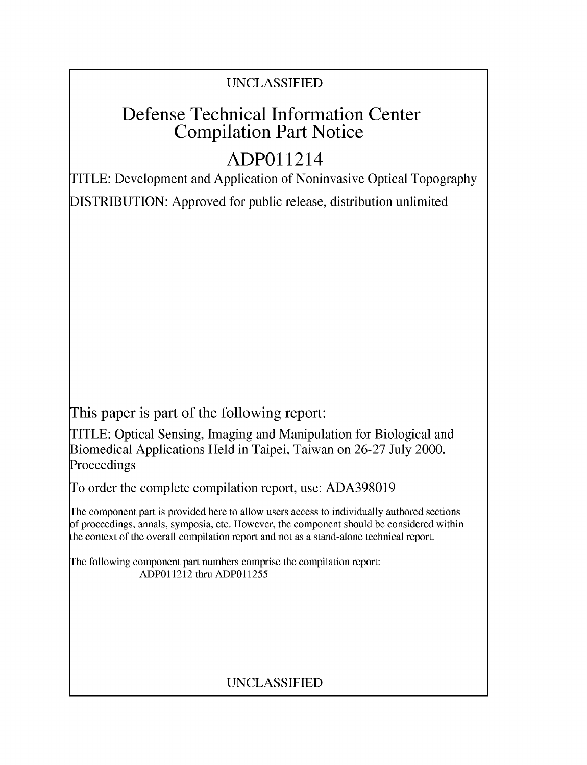## UNCLASSIFIED

## Defense Technical Information Center Compilation Part Notice

# **ADPO** 11214

TITLE: Development and Application of Noninvasive Optical Topography

DISTRIBUTION: Approved for public release, distribution unlimited

This paper is part of the following report:

TITLE: Optical Sensing, Imaging and Manipulation for Biological and Biomedical Applications Held in Taipei, Taiwan on 26-27 July 2000. Proceedings

To order the complete compilation report, use: ADA398019

The component part is provided here to allow users access to individually authored sections f proceedings, annals, symposia, etc. However, the component should be considered within [he context of the overall compilation report and not as a stand-alone technical report.

The following component part numbers comprise the compilation report: ADPO11212 thru ADP011255

## UNCLASSIFIED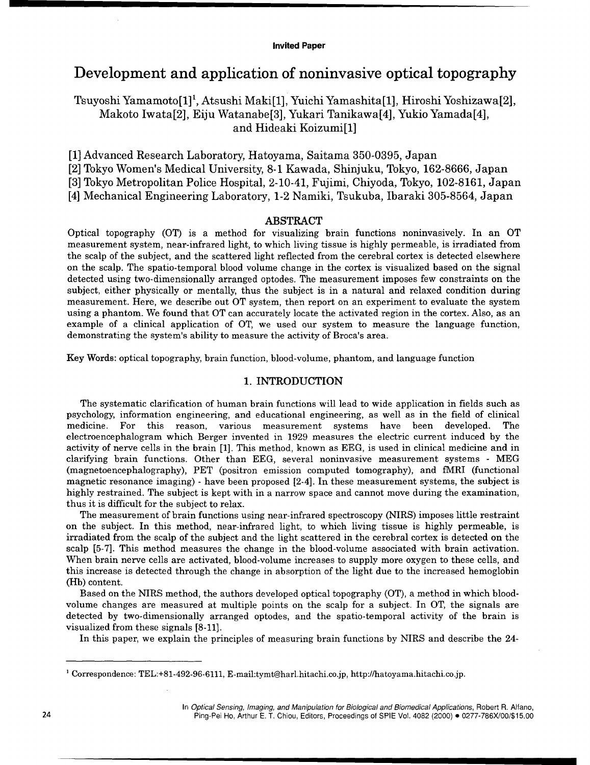### Development and application of noninvasive optical topography

Tsuyoshi Yamamoto[1]', Atsushi Maki[1], Yuichi Yamashita[1], Hiroshi Yoshizawa[21, Makoto Iwata[2], Eiju Watanabe[3], Yukari Tanikawa[4], Yukio Yamada[4], and Hideaki Koizumi[1]

[1] Advanced Research Laboratory, Hatoyama, Saitama 350-0395, Japan [2] Tokyo Women's Medical University, 8-1 Kawada, Shinjuku, Tokyo, 162-8666, Japan [3] Tokyo Metropolitan Police Hospital, 2-10-41, Fujimi, Chiyoda, Tokyo, 102-8161, Japan [4] Mechanical Engineering Laboratory, 1-2 Namiki, Tsukuba, Ibaraki 305-8564, Japan

#### ABSTRACT

Optical topography (OT) is a method for visualizing brain functions noninvasively. In an OT measurement system, near-infrared light, to which living tissue is highly permeable, is irradiated from the scalp of the subject, and the scattered light reflected from the cerebral cortex is detected elsewhere on the scalp. The spatio-temporal blood volume change in the cortex is visualized based on the signal detected using two-dimensionally arranged optodes. The measurement imposes few constraints on the subject, either physically or mentally, thus the subject is in a natural and relaxed condition during measurement. Here, we describe out OT system, then report on an experiment to evaluate the system using a phantom. We found that OT can accurately locate the activated region in the cortex. Also, as an example of a clinical application of OT, we used our system to measure the language function, demonstrating the system's ability to measure the activity of Broca's area.

Key Words: optical topography, brain function, blood-volume, phantom, and language function

#### 1. INTRODUCTION

The systematic clarification of human brain functions will lead to wide application in fields such as psychology, information engineering, and educational engineering, as well as in the field of clinical medicine. For this reason, various measurement systems have been developed. The electroencephalogram which Berger invented in 1929 measures the electric current induced by the activity of nerve cells in the brain [1]. This method, known as EEG, is used in clinical medicine and in clarifying brain functions. Other than EEG, several noninvasive measurement systems - MEG (magnetoencephalography), PET (positron emission computed tomography), and fMRI (functional magnetic resonance imaging) - have been proposed [2-4]. In these measurement systems, the subject is highly restrained. The subject is kept with in a narrow space and cannot move during the examination, thus it is difficult for the subject to relax.

The measurement of brain functions using near-infrared spectroscopy (NIRS) imposes little restraint on the subject. In this method, near-infrared light, to which living tissue is highly permeable, is irradiated from the scalp of the subject and the light scattered in the cerebral cortex is detected on the scalp [5-7]. This method measures the change in the blood-volume associated with brain activation. When brain nerve cells are activated, blood-volume increases to supply more oxygen to these cells, and this increase is detected through the change in absorption of the light due to the increased hemoglobin (Hb) content.

Based on the NIRS method, the authors developed optical topography (OT), a method in which bloodvolume changes are measured at multiple points on the scalp for a subject. In OT, the signals are detected by two-dimensionally arranged optodes, and the spatio-temporal activity of the brain is visualized from these signals [8-11].

In this paper, we explain the principles of measuring brain functions by NIRS and describe the 24-

Correspondence: TEL:+81-492-96-6111, E-mail:tymt@harl.hitachi.co.jp, http://hatoyama.hitachi.co.jp.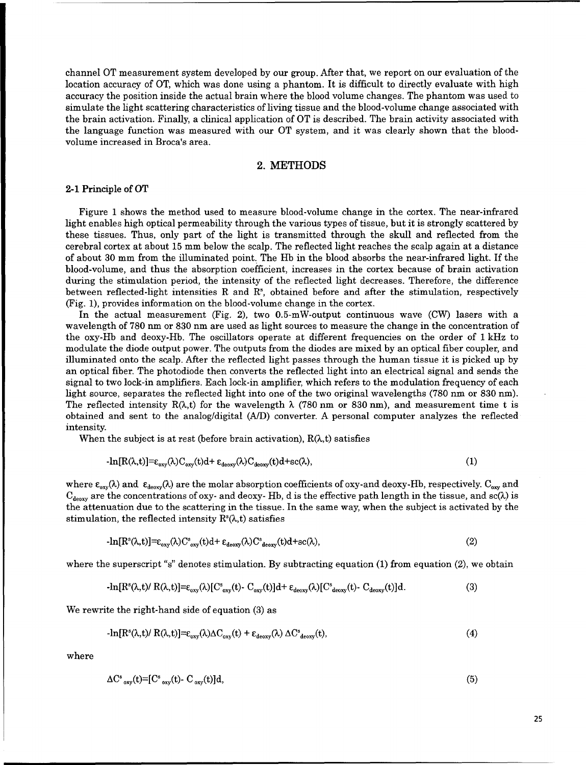channel OT measurement system developed by our group. After that, we report on our evaluation of the location accuracy of OT, which was done using a phantom. It is difficult to directly evaluate with high accuracy the position inside the actual brain where the blood volume changes. The phantom was used to simulate the light scattering characteristics of living tissue and the blood-volume change associated with the brain activation. Finally, a clinical application of OT is described. The brain activity associated with the language function was measured with our OT system, and it was clearly shown that the bloodvolume increased in Broca's area.

#### 2. METHODS

#### 2-1 Principle of OT

Figure 1 shows the method used to measure blood-volume change in the cortex. The near-infrared light enables high optical permeability through the various types of tissue, but it is strongly scattered by these tissues. Thus, only part of the light is transmitted through the skull and reflected from the cerebral cortex at about 15 mm below the scalp. The reflected light reaches the scalp again at a distance of about 30 mm from the illuminated point. The Hb in the blood absorbs the near-infrared light. If the blood-volume, and thus the absorption coefficient, increases in the cortex because of brain activation during the stimulation period, the intensity of the reflected light decreases. Therefore, the difference between reflected-light intensities  $R$  and  $R^s$ , obtained before and after the stimulation, respectively (Fig. 1), provides information on the blood-volume change in the cortex.

In the actual measurement (Fig. 2), two 0.5-mW-output continuous wave (CW) lasers with a wavelength of 780 nm or 830 nm are used as light sources to measure the change in the concentration of the oxy-Hb and deoxy-Hb. The oscillators operate at different frequencies on the order of 1 kHz to modulate the diode output power. The outputs from the diodes are mixed by an optical fiber coupler, and illuminated onto the scalp. After the reflected light passes through the human tissue it is picked up by an optical fiber. The photodiode then converts the reflected light into an electrical signal and sends the signal to two lock-in amplifiers. Each lock-in amplifier, which refers to the modulation frequency of each light source, separates the reflected light into one of the two original wavelengths (780 nm or 830 nm). The reflected intensity  $R(\lambda, t)$  for the wavelength  $\lambda$  (780 nm or 830 nm), and measurement time t is obtained and sent to the analog/digital (AMD) converter. A personal computer analyzes the reflected intensity.

When the subject is at rest (before brain activation),  $R(\lambda, t)$  satisfies

$$
-ln[R(\lambda, t)] = \varepsilon_{\text{oxv}}(\lambda) C_{\text{oxv}}(t) d + \varepsilon_{\text{deoxv}}(\lambda) C_{\text{deoxv}}(t) d + \text{sc}(\lambda),
$$
\n(1)

where  $\epsilon_{oxy}(\lambda)$  and  $\epsilon_{deoxy}(\lambda)$  are the molar absorption coefficients of oxy-and deoxy-Hb, respectively.  $C_{oxy}$  and  $C_{\text{decay}}$  are the concentrations of oxy- and deoxy- Hb, d is the effective path length in the tissue, and  $\text{sc}(\lambda)$  is the attenuation due to the scattering in the tissue. In the same way, when the subject is activated by the stimulation, the reflected intensity  $\mathbb{R}^s(\lambda, t)$  satisfies

$$
-\ln[R^{s}(\lambda,t)] = \varepsilon_{\text{oxy}}(\lambda)C^{s}_{\text{oxy}}(t)dt + \varepsilon_{\text{decay}}(\lambda)C^{s}_{\text{decay}}(t)dt + \text{sc}(\lambda),
$$
\n(2)

where the superscript "s" denotes stimulation. By subtracting equation (1) from equation (2), we obtain

$$
-\ln[R^{s}(\lambda,t)/R(\lambda,t)] = \varepsilon_{\text{oxy}}(\lambda)[C^{s}_{\text{oxy}}(t) - C_{\text{oxy}}(t)]dt + \varepsilon_{\text{decay}}(\lambda)[C^{s}_{\text{decay}}(t) - C_{\text{decay}}(t)]d. \tag{3}
$$

We rewrite the right-hand side of equation (3) as

$$
-\ln[R^{s}(\lambda, t)/ R(\lambda, t)] = \varepsilon_{\text{oxy}}(\lambda) \Delta C_{\text{oxy}}(t) + \varepsilon_{\text{decay}}(\lambda) \Delta C_{\text{decay}}^{s}(t),
$$
\n(4)

where

$$
\Delta C^s_{\text{oxy}}(t) = [C^s_{\text{oxy}}(t) - C_{\text{oxy}}(t)]d,
$$
\n(5)

25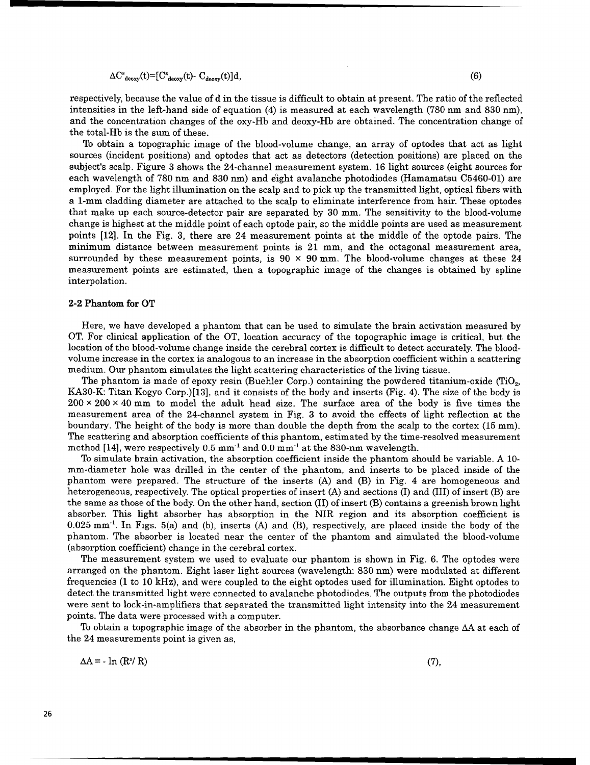$\Delta C^s_{\text{decay}}(t) = [C^s_{\text{deoxy}}(t) - C_{\text{deoxy}}(t)]d,$  (6)

respectively, because the value of d in the tissue is difficult to obtain at present. The ratio of the reflected intensities in the left-hand side of equation (4) is measured at each wavelength (780 nm and 830 nm), and the concentration changes of the oxy-Hb and deoxy-Hb are obtained. The concentration change of the total-Hb is the sum of these.

To obtain a topographic image of the blood-volume change, an array of optodes that act as light sources (incident positions) and optodes that act as detectors (detection positions) are placed on the subject's scalp. Figure 3 shows the 24-channel measurement system. 16 light sources (eight sources for each wavelength of 780 nm and 830 nm) and eight avalanche photodiodes (Hamamatsu C5460-01) are employed. For the light illumination on the scalp and to pick up the transmitted light, optical fibers with a 1-mm cladding diameter are attached to the scalp to eliminate interference from hair. These optodes that make up each source-detector pair are separated by 30 mm. The sensitivity to the blood-volume change is highest at the middle point of each optode pair, so the middle points are used as measurement points [12]. In the Fig. 3, there are 24 measurement points at the middle of the optode pairs. The minimum distance between measurement points is 21 mm, and the octagonal measurement area, surrounded by these measurement points, is  $90 \times 90$  mm. The blood-volume changes at these 24 measurement points are estimated, then a topographic image of the changes is obtained by spline interpolation.

#### 2-2 Phantom for OT

Here, we have developed a phantom that can be used to simulate the brain activation measured by OT. For clinical application of the OT, location accuracy of the topographic image is critical, but the location of the blood-volume change inside the cerebral cortex is difficult to detect accurately. The bloodvolume increase in the cortex is analogous to an increase in the absorption coefficient within a scattering medium. Our phantom simulates the light scattering characteristics of the living tissue.

The phantom is made of epoxy resin (Buehler Corp.) containing the powdered titanium-oxide (TiO<sub>2</sub>, KA30-K: Titan Kogyo Corp.)[13], and it consists of the body and inserts (Fig. 4). The size of the body is  $200 \times 200 \times 40$  mm to model the adult head size. The surface area of the body is five times the measurement area of the 24-channel system in Fig. 3 to avoid the effects of light reflection at the boundary. The height of the body is more than double the depth from the scalp to the cortex (15 mm). The scattering and absorption coefficients of this phantom, estimated by the time-resolved measurement method [14], were respectively 0.5 mm<sup>-1</sup> and 0.0 mm<sup>-1</sup> at the 830-nm wavelength.

To simulate brain activation, the absorption coefficient inside the phantom should be variable. A 10 mm-diameter hole was drilled in the center of the phantom, and inserts to be placed inside of the phantom were prepared. The structure of the inserts (A) and (B) in Fig. 4 are homogeneous and heterogeneous, respectively. The optical properties of insert (A) and sections (I) and (III) of insert (B) are the same as those of the body. On the other hand, section (II) of insert (B) contains a greenish brown light absorber. This light absorber has absorption in the NIR region and its absorption coefficient is  $0.025$  mm<sup>-1</sup>. In Figs. 5(a) and (b), inserts (A) and (B), respectively, are placed inside the body of the phantom. The absorber is located near the center of the phantom and simulated the blood-volume (absorption coefficient) change in the cerebral cortex.

The measurement system we used to evaluate our phantom is shown in Fig. 6. The optodes were arranged on the phantom. Eight laser light sources (wavelength: 830 nm) were modulated at different frequencies (1 to 10 kHz), and were coupled to the eight optodes used for illumination. Eight optodes to detect the transmitted light were connected to avalanche photodiodes. The outputs from the photodiodes were sent to lock-in-amplifiers that separated the transmitted light intensity into the 24 measurement points. The data were processed with a computer.

To obtain a topographic image of the absorber in the phantom, the absorbance change  $\Delta A$  at each of the 24 measurements point is given as,

 $\Delta A = - \ln (R^s / R)$  (7),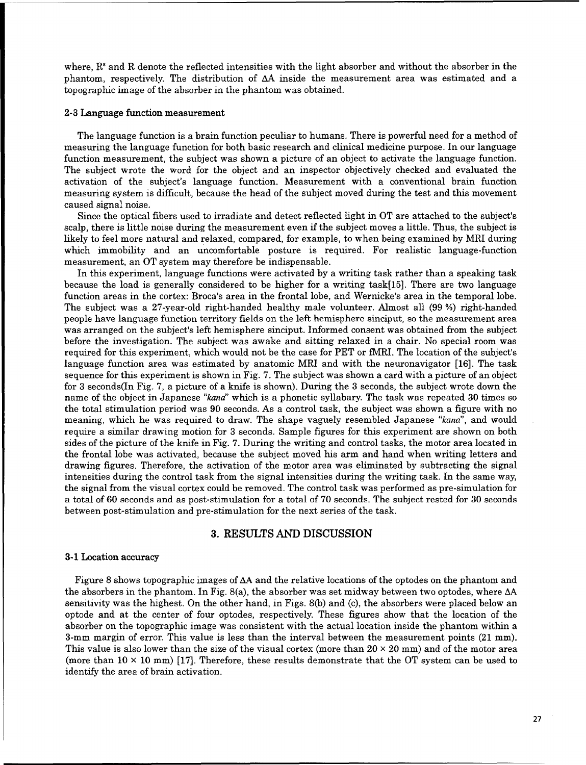where,  $\mathbb{R}^s$  and  $\mathbb R$  denote the reflected intensities with the light absorber and without the absorber in the phantom, respectively. The distribution of AA inside the measurement area was estimated and a topographic image of the absorber in the phantom was obtained.

#### 2-3 Language function measurement

The language function is a brain function peculiar to humans. There is powerful need for a method of measuring the language function for both basic research and clinical medicine purpose. In our language function measurement, the subject was shown a picture of an object to activate the language function. The subject wrote the word for the object and an inspector objectively checked and evaluated the activation of the subject's language function. Measurement with a conventional brain function measuring system is difficult, because the head of the subject moved during the test and this movement caused signal noise.

Since the optical fibers used to irradiate and detect reflected light in OT are attached to the subject's scalp, there is little noise during the measurement even if the subject moves a little. Thus, the subject is likely to feel more natural and relaxed, compared, for example, to when being examined by MRI during which immobility and an uncomfortable posture is required. For realistic language-function measurement, an OT system may therefore be indispensable.

In this experiment, language functions were activated by a writing task rather than a speaking task because the load is generally considered to be higher for a writing task[15]. There are two language function areas in the cortex: Broca's area in the frontal lobe, and Wernicke's area in the temporal lobe. The subject was a 27-year-old right-handed healthy male volunteer. Almost all (99 %) right-handed people have language function territory fields on the left hemisphere sinciput, so the measurement area was arranged on the subject's left hemisphere sinciput. Informed consent was obtained from the subject before the investigation. The subject was awake and sitting relaxed in a chair. No special room was required for this experiment, which would not be the case for PET or fMRI. The location of the subject's language function area was estimated by anatomic MRI and with the neuronavigator [16]. The task sequence for this experiment is shown in Fig. 7. The subject was shown a card with a picture of an object for 3 seconds(In Fig. 7, a picture of a knife is shown). During the 3 seconds, the subject wrote down the name of the object in Japanese "kana" which is a phonetic syllabary. The task was repeated 30 times so the total stimulation period was 90 seconds. As a control task, the subject was shown a figure with no meaning, which he was required to draw. The shape vaguely resembled Japanese "kana", and would require a similar drawing motion for 3 seconds. Sample figures for this experiment are shown on both sides of the picture of the knife in Fig. 7. During the writing and control tasks, the motor area located in the frontal lobe was activated, because the subject moved his arm and hand when writing letters and drawing figures. Therefore, the activation of the motor area was eliminated by subtracting the signal intensities during the control task from the signal intensities during the writing task. In the same way, the signal from the visual cortex could be removed. The control task was performed as pre-simulation for a total of 60 seconds and as post-stimulation for a total of 70 seconds. The subject rested for 30 seconds between post-stimulation and pre-stimulation for the next series of the task.

#### 3. RESULTS **AND** DISCUSSION

#### 3-1 Location accuracy

Figure 8 shows topographic images of  $\Delta A$  and the relative locations of the optodes on the phantom and the absorbers in the phantom. In Fig. 8(a), the absorber was set midway between two optodes, where AA sensitivity was the highest. On the other hand, in Figs. 8(b) and (c), the absorbers were placed below an optode and at the center of four optodes, respectively. These figures show that the location of the absorber on the topographic image was consistent with the actual location inside the phantom within a 3-mm margin of error. This value is less than the interval between the measurement points (21 mm). This value is also lower than the size of the visual cortex (more than  $20 \times 20$  mm) and of the motor area (more than  $10 \times 10$  mm) [17]. Therefore, these results demonstrate that the OT system can be used to identify the area of brain activation.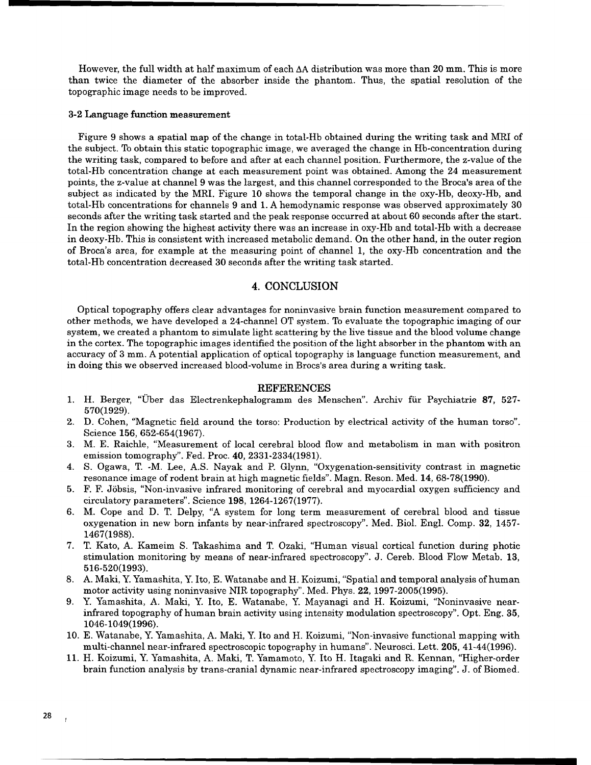However, the full width at half maximum of each **AA** distribution was more than 20 mm. This is more than twice the diameter of the absorber inside the phantom. Thus, the spatial resolution of the topographic image needs to be improved.

#### 3-2 Language function measurement

Figure 9 shows a spatial map of the change in total-Hb obtained during the writing task and MRI of the subject. To obtain this static topographic image, we averaged the change in Hb-concentration during the writing task, compared to before and after at each channel position. Furthermore, the z-value of the total-Hb concentration change at each measurement point was obtained. Among the 24 measurement points, the z-value at channel 9 was the largest, and this channel corresponded to the Broca's area of the subject as indicated by the MRI. Figure 10 shows the temporal change in the oxy-Hb, deoxy-Hb, and total-Hb concentrations for channels 9 and 1. A hemodynamic response was observed approximately 30 seconds after the writing task started and the peak response occurred at about 60 seconds after the start. In the region showing the highest activity there was an increase in oxy-Hb and total-Hb with a decrease in deoxy-Hb. This is consistent with increased metabolic demand. On the other hand, in the outer region of Broca's area, for example at the measuring point of channel 1, the oxy-Hb concentration and the total-Hb concentration decreased 30 seconds after the writing task started.

#### 4. CONCLUSION

Optical topography offers clear advantages for noninvasive brain function measurement compared to other methods, we have developed a 24-channel OT system. To evaluate the topographic imaging of our system, we created a phantom to simulate light scattering by the live tissue and the blood volume change in the cortex. The topographic images identified the position of the light absorber in the phantom with an accuracy of 3 mm. A potential application of optical topography is language function measurement, and in doing this we observed increased blood-volume in Brocs's area during a writing task.

#### REFERENCES

- 1. H. Berger, "Ober das Electrenkephalogramm des Menschen". Archiv fur Psychiatrie 87, **527-** 570(1929).
- 2. D. Cohen, "Magnetic field around the torso: Production by electrical activity of the human torso". Science 156, 652-654(1967).
- 3. M. E. Raichle, "Measurement of local cerebral blood flow and metabolism in man with positron emission tomography". Fed. Proc. 40, 2331-2334(1981).
- 4. **S.** Ogawa, T. -M. Lee, A.S. Nayak and P. Glynn, "Oxygenation-sensitivity contrast in magnetic resonance image of rodent brain at high magnetic fields". Magn. Reson. Med. 14, 68-78(1990).
- 5. F. F. Jbbsis, "Non-invasive infrared monitoring of cerebral and myocardial oxygen sufficiency and circulatory parameters". Science 198, 1264-1267(1977).
- 6. M. Cope and D. T. Delpy, "A system for long term measurement of cerebral blood and tissue oxygenation in new born infants by near-infrared spectroscopy". Med. Biol. Engl. Comp. 32, 1457- 1467(1988).
- 7. T. Kato, A. Kameim S. Takashima and T. Ozaki, "Human visual cortical function during photic stimulation monitoring by means of near-infrared spectroscopy". J. Cereb. Blood Flow Metab. 13, 516-520(1993).
- 8. A. Maki, Y. Yamashita, Y. Ito, E. Watanabe and H. Koizumi, "Spatial and temporal analysis of human motor activity using noninvasive NIR topography". Med. Phys. 22, 1997-2005(1995).
- 9. Y. Yamashita, A. Maki, Y. Ito, E. Watanabe, Y. Mayanagi and H. Koizumi, "Noninvasive nearinfrared topography of human brain activity using intensity modulation spectroscopy". Opt. Eng. 35, 1046-1049(1996).
- 10. E. Watanabe, Y. Yamashita, A. Maki, Y. Ito and H. Koizumi, "Non-invasive functional mapping with multi-channel near-infrared spectroscopic topography in humans". Neurosci. Lett. 205, 41-44(1996).
- 11. H. Koizumi, Y. Yamashita, A. Maki, T. Yamamoto, Y. Ito H. Itagaki and R. Kennan, "Higher-order brain function analysis by trans-cranial dynamic near-infrared spectroscopy imaging". J. of Biomed.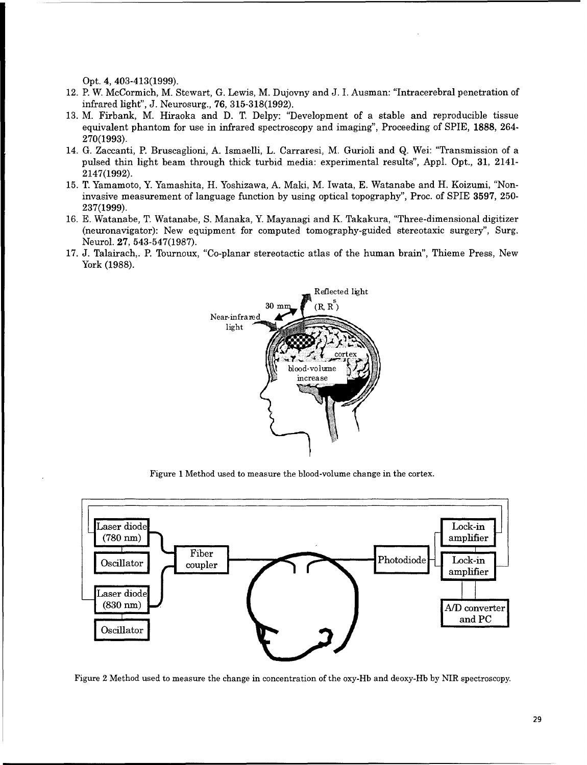Opt. 4, 403-413(1999).

- 12. P. W. McCormich, M. Stewart, G. Lewis, M. Dujovny and J. I. Ausman: "Intracerebral penetration of infrared light", J. Neurosurg., 76, 315-318(1992).
- 13. M. Firbank, M. Hiraoka and D. T. Delpy: "Development of a stable and reproducible tissue equivalent phantom for use in infrared spectroscopy and imaging", Proceeding of SPIE, 1888, 264- 270(1993).
- 14. G. Zaccanti, P. Bruscaglioni, A. Ismaelli, L. Carraresi, M. Gurioli and Q. Wei: "Transmission of a pulsed thin light beam through thick turbid media: experimental results", Appl. Opt., 31, 2141- 2147(1992).
- 15. T. Yamamoto, Y. Yamashita, H. Yoshizawa, A. Maki, M. Iwata, E. Watanabe and H. Koizumi, "Noninvasive measurement of language function by using optical topography", Proc. of SPIE 3597, 250- 237(1999).
- 16. E. Watanabe, T. Watanabe, S. Manaka, Y. Mayanagi and K. Takakura, "Three-dimensional digitizer (neuronavigator): New equipment for computed tomography-guided stereotaxic surgery", Surg. Neurol. 27, 543-547(1987).
- 17. J. Talairach,. P. Tournoux, "Co-planar stereotactic atlas of the human brain", Thieme Press, New York (1988).



Figure 1 Method used to measure the blood-volume change in the cortex.



Figure 2 Method used to measure the change in concentration of the oxy-Hb and deoxy-Hb by NIR spectroscopy.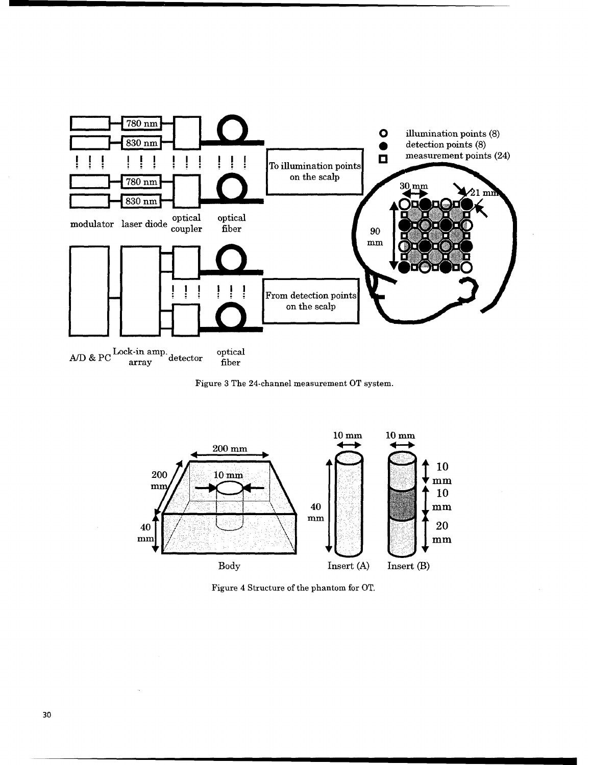

Figure 3 The 24-channel measurement OT system.



Figure 4 Structure of the phantom for OT.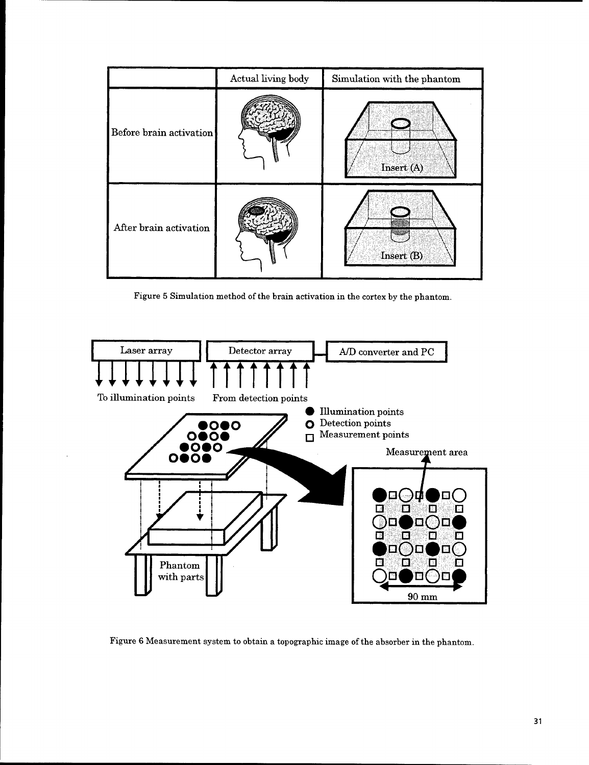|                         | Actual living body | Simulation with the phantom |
|-------------------------|--------------------|-----------------------------|
| Before brain activation |                    | Insert $(A)$                |
| After brain activation  |                    | Insert (B)                  |

Figure 5 Simulation method of the brain activation in the cortex by the phantom.



Figure 6 Measurement system to obtain a topographic image of the absorber in the phantom.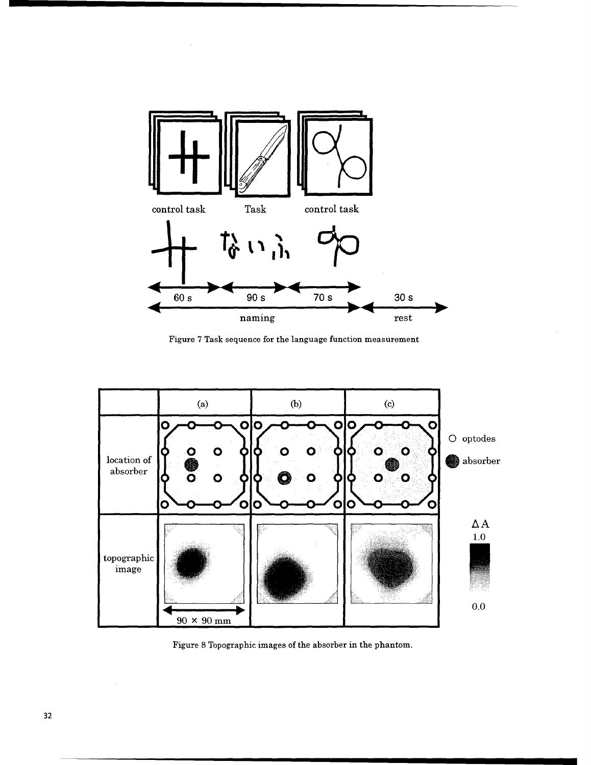

Figure 7 Task sequence for the language function measurement



Figure 8 Topographic images of the absorber in the phantom.